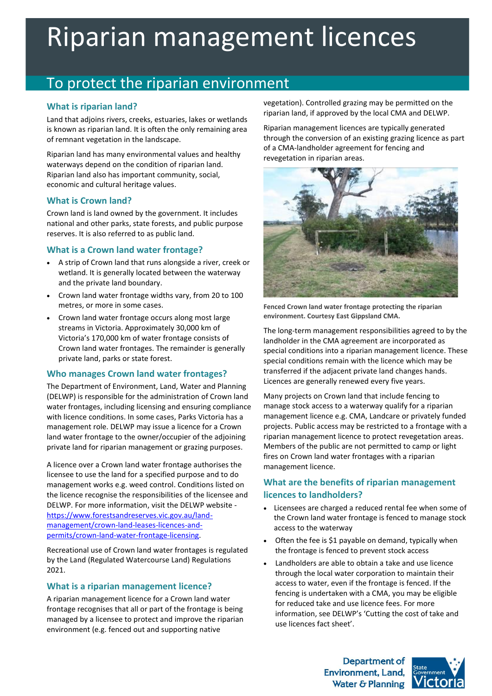# Riparian management licences

# To protect the riparian environment

#### **What is riparian land?**

Land that adjoins rivers, creeks, estuaries, lakes or wetlands is known as riparian land. It is often the only remaining area of remnant vegetation in the landscape.

Riparian land has many environmental values and healthy waterways depend on the condition of riparian land. Riparian land also has important community, social, economic and cultural heritage values.

#### **What is Crown land?**

Crown land is land owned by the government. It includes national and other parks, state forests, and public purpose reserves. It is also referred to as public land.

#### **What is a Crown land water frontage?**

- A strip of Crown land that runs alongside a river, creek or wetland. It is generally located between the waterway and the private land boundary.
- Crown land water frontage widths vary, from 20 to 100 metres, or more in some cases.
- Crown land water frontage occurs along most large streams in Victoria. Approximately 30,000 km of Victoria's 170,000 km of water frontage consists of Crown land water frontages. The remainder is generally private land, parks or state forest.

#### **Who manages Crown land water frontages?**

The Department of Environment, Land, Water and Planning (DELWP) is responsible for the administration of Crown land water frontages, including licensing and ensuring compliance with licence conditions. In some cases, Parks Victoria has a management role. DELWP may issue a licence for a Crown land water frontage to the owner/occupier of the adjoining private land for riparian management or grazing purposes.

A licence over a Crown land water frontage authorises the licensee to use the land for a specified purpose and to do management works e.g. weed control. Conditions listed on the licence recognise the responsibilities of the licensee and DELWP. For more information, visit the DELWP website [https://www.forestsandreserves.vic.gov.au/land](https://www.forestsandreserves.vic.gov.au/land-management/crown-land-leases-licences-and-permits/crown-land-water-frontage-licensing)[management/crown-land-leases-licences-and](https://www.forestsandreserves.vic.gov.au/land-management/crown-land-leases-licences-and-permits/crown-land-water-frontage-licensing)[permits/crown-land-water-frontage-licensing.](https://www.forestsandreserves.vic.gov.au/land-management/crown-land-leases-licences-and-permits/crown-land-water-frontage-licensing)

Recreational use of Crown land water frontages is regulated by the Land (Regulated Watercourse Land) Regulations 2021.

#### **What is a riparian management licence?**

A riparian management licence for a Crown land water frontage recognises that all or part of the frontage is being managed by a licensee to protect and improve the riparian environment (e.g. fenced out and supporting native

vegetation). Controlled grazing may be permitted on the riparian land, if approved by the local CMA and DELWP.

Riparian management licences are typically generated through the conversion of an existing grazing licence as part of a CMA-landholder agreement for fencing and revegetation in riparian areas.



**Fenced Crown land water frontage protecting the riparian environment. Courtesy East Gippsland CMA.**

The long-term management responsibilities agreed to by the landholder in the CMA agreement are incorporated as special conditions into a riparian management licence. These special conditions remain with the licence which may be transferred if the adjacent private land changes hands. Licences are generally renewed every five years.

Many projects on Crown land that include fencing to manage stock access to a waterway qualify for a riparian management licence e.g. CMA, Landcare or privately funded projects. Public access may be restricted to a frontage with a riparian management licence to protect revegetation areas. Members of the public are not permitted to camp or light fires on Crown land water frontages with a riparian management licence.

### **What are the benefits of riparian management licences to landholders?**

- Licensees are charged a reduced rental fee when some of the Crown land water frontage is fenced to manage stock access to the waterway
- Often the fee is \$1 payable on demand, typically when the frontage is fenced to prevent stock access
- Landholders are able to obtain a take and use licence through the local water corporation to maintain their access to water, even if the frontage is fenced. If the fencing is undertaken with a CMA, you may be eligible for reduced take and use licence fees. For more information, see DELWP's 'Cutting the cost of take and use licences fact sheet'.

**Department of Environment, Land,** Water & Planning